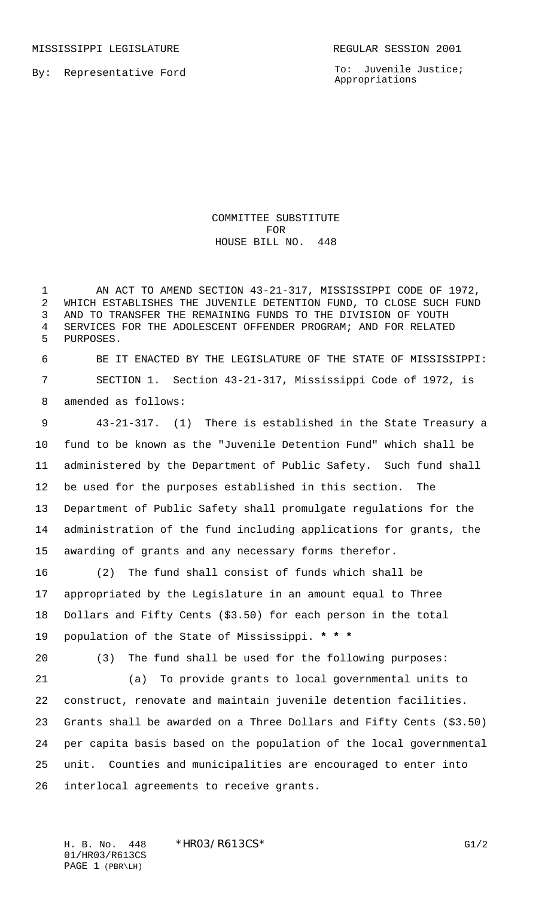MISSISSIPPI LEGISLATURE **REGULAR SESSION 2001** 

By: Representative Ford

To: Juvenile Justice; Appropriations

COMMITTEE SUBSTITUTE FOR HOUSE BILL NO. 448

 AN ACT TO AMEND SECTION 43-21-317, MISSISSIPPI CODE OF 1972, WHICH ESTABLISHES THE JUVENILE DETENTION FUND, TO CLOSE SUCH FUND AND TO TRANSFER THE REMAINING FUNDS TO THE DIVISION OF YOUTH SERVICES FOR THE ADOLESCENT OFFENDER PROGRAM; AND FOR RELATED PURPOSES.

 BE IT ENACTED BY THE LEGISLATURE OF THE STATE OF MISSISSIPPI: SECTION 1. Section 43-21-317, Mississippi Code of 1972, is amended as follows:

 43-21-317. (1) There is established in the State Treasury a fund to be known as the "Juvenile Detention Fund" which shall be administered by the Department of Public Safety. Such fund shall be used for the purposes established in this section. The Department of Public Safety shall promulgate regulations for the administration of the fund including applications for grants, the awarding of grants and any necessary forms therefor.

 (2) The fund shall consist of funds which shall be appropriated by the Legislature in an amount equal to Three Dollars and Fifty Cents (\$3.50) for each person in the total population of the State of Mississippi. **\* \* \***

(3) The fund shall be used for the following purposes:

 (a) To provide grants to local governmental units to construct, renovate and maintain juvenile detention facilities. Grants shall be awarded on a Three Dollars and Fifty Cents (\$3.50) per capita basis based on the population of the local governmental unit. Counties and municipalities are encouraged to enter into interlocal agreements to receive grants.

01/HR03/R613CS PAGE 1 (PBR\LH)

H. B. No. 448 \* HRO3/R613CS\* G1/2